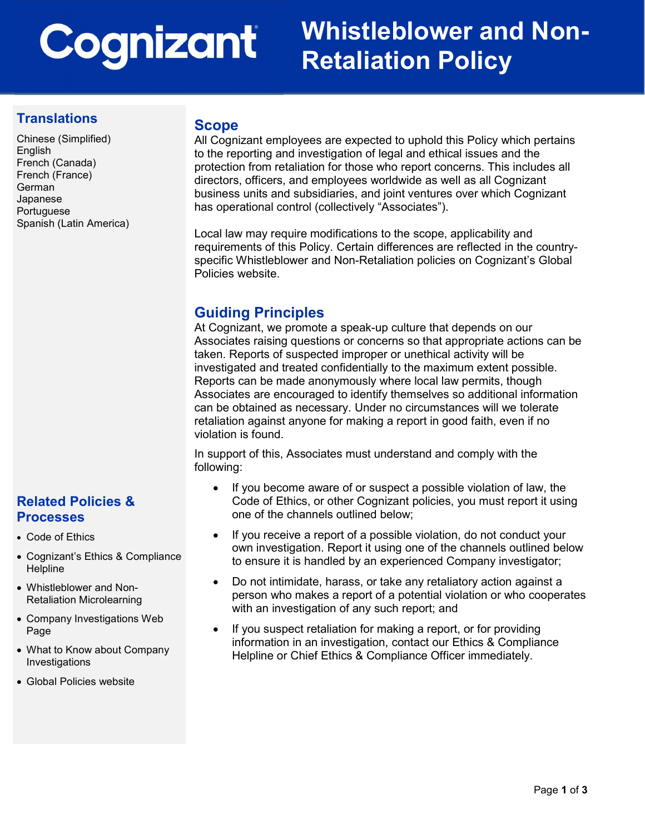# Cognizant

## Whistleblower and Non-Retaliation Policy

#### **Translations**

Chinese (Simplified) English French (Canada) French (France) German Japanese Portuguese Spanish (Latin America)

#### Scope

All Cognizant employees are expected to uphold this Policy which pertains to the reporting and investigation of legal and ethical issues and the protection from retaliation for those who report concerns. This includes all directors, officers, and employees worldwide as well as all Cognizant business units and subsidiaries, and joint ventures over which Cognizant has operational control (collectively "Associates").

Local law may require modifications to the scope, applicability and requirements of this Policy. Certain differences are reflected in the countryspecific Whistleblower and Non-Retaliation policies on Cognizant's Global Policies website.

#### Guiding Principles

At Cognizant, we promote a speak-up culture that depends on our Associates raising questions or concerns so that appropriate actions can be taken. Reports of suspected improper or unethical activity will be investigated and treated confidentially to the maximum extent possible. Reports can be made anonymously where local law permits, though Associates are encouraged to identify themselves so additional information can be obtained as necessary. Under no circumstances will we tolerate retaliation against anyone for making a report in good faith, even if no violation is found.

In support of this, Associates must understand and comply with the following:

- If you become aware of or suspect a possible violation of law, the Code of Ethics, or other Cognizant policies, you must report it using one of the channels outlined below;
- If you receive a report of a possible violation, do not conduct your own investigation. Report it using one of the channels outlined below to ensure it is handled by an experienced Company investigator;
- Do not intimidate, harass, or take any retaliatory action against a person who makes a report of a potential violation or who cooperates with an investigation of any such report; and
- If you suspect retaliation for making a report, or for providing information in an investigation, contact our Ethics & Compliance Helpline or Chief Ethics & Compliance Officer immediately.

#### Related Policies & **Processes**

- Code of Ethics
- Cognizant's Ethics & Compliance Helpline
- Whistleblower and Non-Retaliation Microlearning
- Company Investigations Web Page
- What to Know about Company Investigations
- Global Policies website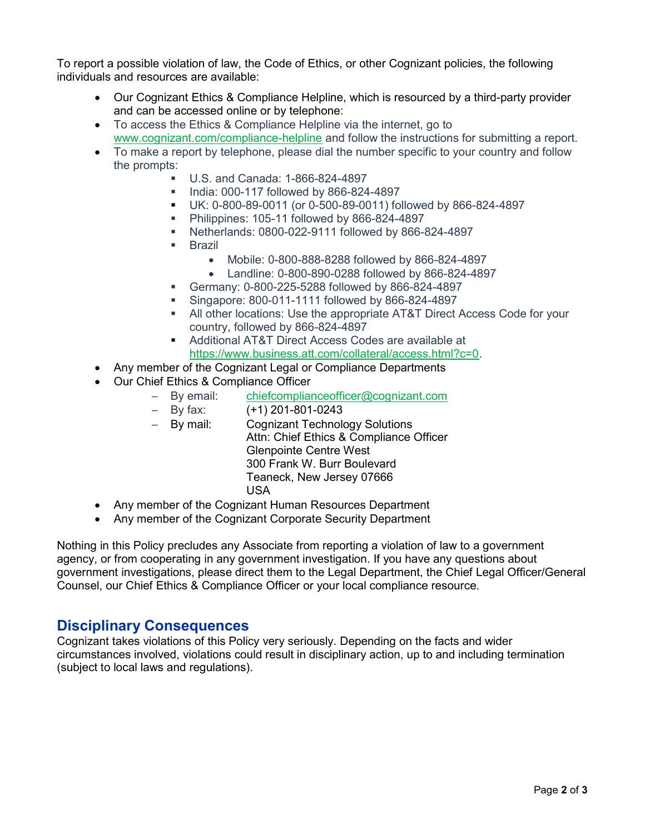To report a possible violation of law, the Code of Ethics, or other Cognizant policies, the following individuals and resources are available:

- Our Cognizant Ethics & Compliance Helpline, which is resourced by a third-party provider and can be accessed online or by telephone:
- To access the Ethics & Compliance Helpline via the internet, go to www.cognizant.com/compliance-helpline and follow the instructions for submitting a report.
- To make a report by telephone, please dial the number specific to your country and follow the prompts:
	- U.S. and Canada: 1-866-824-4897
	- **India: 000-117 followed by 866-824-4897**
	- UK: 0-800-89-0011 (or 0-500-89-0011) followed by 866-824-4897
	- Philippines: 105-11 followed by 866-824-4897
	- Netherlands: 0800-022-9111 followed by 866-824-4897
	- **Brazil** 
		- Mobile: 0-800-888-8288 followed by 866-824-4897
		- Landline: 0-800-890-0288 followed by 866-824-4897
	- Germany: 0-800-225-5288 followed by 866-824-4897
	- Singapore: 800-011-1111 followed by 866-824-4897
	- All other locations: Use the appropriate AT&T Direct Access Code for your country, followed by 866-824-4897
	- Additional AT&T Direct Access Codes are available at https://www.business.att.com/collateral/access.html?c=0.
- Any member of the Cognizant Legal or Compliance Departments
- Our Chief Ethics & Compliance Officer
	- By email: chiefcomplianceofficer@cognizant.com
	- $-$  By fax:  $(+1)$  201-801-0243
	- By mail: Cognizant Technology Solutions Attn: Chief Ethics & Compliance Officer Glenpointe Centre West 300 Frank W. Burr Boulevard Teaneck, New Jersey 07666 USA
- Any member of the Cognizant Human Resources Department
- Any member of the Cognizant Corporate Security Department

Nothing in this Policy precludes any Associate from reporting a violation of law to a government agency, or from cooperating in any government investigation. If you have any questions about government investigations, please direct them to the Legal Department, the Chief Legal Officer/General Counsel, our Chief Ethics & Compliance Officer or your local compliance resource.

#### Disciplinary Consequences

Cognizant takes violations of this Policy very seriously. Depending on the facts and wider circumstances involved, violations could result in disciplinary action, up to and including termination (subject to local laws and regulations).